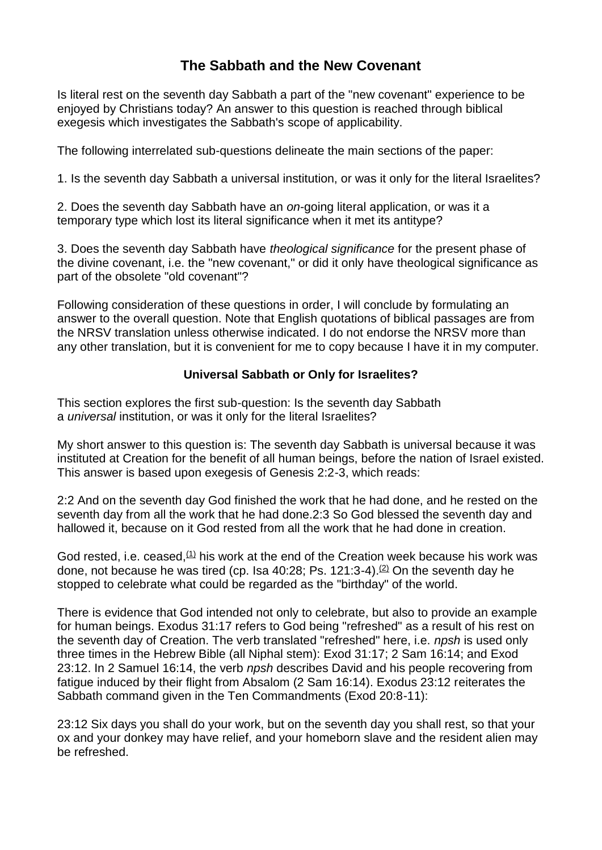# **The Sabbath and the New Covenant**

Is literal rest on the seventh day Sabbath a part of the "new covenant" experience to be enjoyed by Christians today? An answer to this question is reached through biblical exegesis which investigates the Sabbath's scope of applicability.

The following interrelated sub-questions delineate the main sections of the paper:

1. Is the seventh day Sabbath a universal institution, or was it only for the literal Israelites?

2. Does the seventh day Sabbath have an *on*-going literal application, or was it a temporary type which lost its literal significance when it met its antitype?

3. Does the seventh day Sabbath have *theological significance* for the present phase of the divine covenant, i.e. the "new covenant," or did it only have theological significance as part of the obsolete "old covenant"?

Following consideration of these questions in order, I will conclude by formulating an answer to the overall question. Note that English quotations of biblical passages are from the NRSV translation unless otherwise indicated. I do not endorse the NRSV more than any other translation, but it is convenient for me to copy because I have it in my computer.

### **Universal Sabbath or Only for Israelites?**

This section explores the first sub-question: Is the seventh day Sabbath a *universal* institution, or was it only for the literal Israelites?

My short answer to this question is: The seventh day Sabbath is universal because it was instituted at Creation for the benefit of all human beings, before the nation of Israel existed. This answer is based upon exegesis of Genesis 2:2-3, which reads:

2:2 And on the seventh day God finished the work that he had done, and he rested on the seventh day from all the work that he had done.2:3 So God blessed the seventh day and hallowed it, because on it God rested from all the work that he had done in creation.

God rested, i.e. ceased, $(1)$  his work at the end of the Creation week because his work was done, not because he was tired (cp. Isa  $40:28$ ; Ps. 121:3-4).<sup>[\(2\)](http://www.sdanet.org/atissue/covenants/ganecov.htm#N_2_)</sup> On the seventh day he stopped to celebrate what could be regarded as the "birthday" of the world.

There is evidence that God intended not only to celebrate, but also to provide an example for human beings. Exodus 31:17 refers to God being "refreshed" as a result of his rest on the seventh day of Creation. The verb translated "refreshed" here, i.e. *npsh* is used only three times in the Hebrew Bible (all Niphal stem): Exod 31:17; 2 Sam 16:14; and Exod 23:12. In 2 Samuel 16:14, the verb *npsh* describes David and his people recovering from fatigue induced by their flight from Absalom (2 Sam 16:14). Exodus 23:12 reiterates the Sabbath command given in the Ten Commandments (Exod 20:8-11):

23:12 Six days you shall do your work, but on the seventh day you shall rest, so that your ox and your donkey may have relief, and your homeborn slave and the resident alien may be refreshed.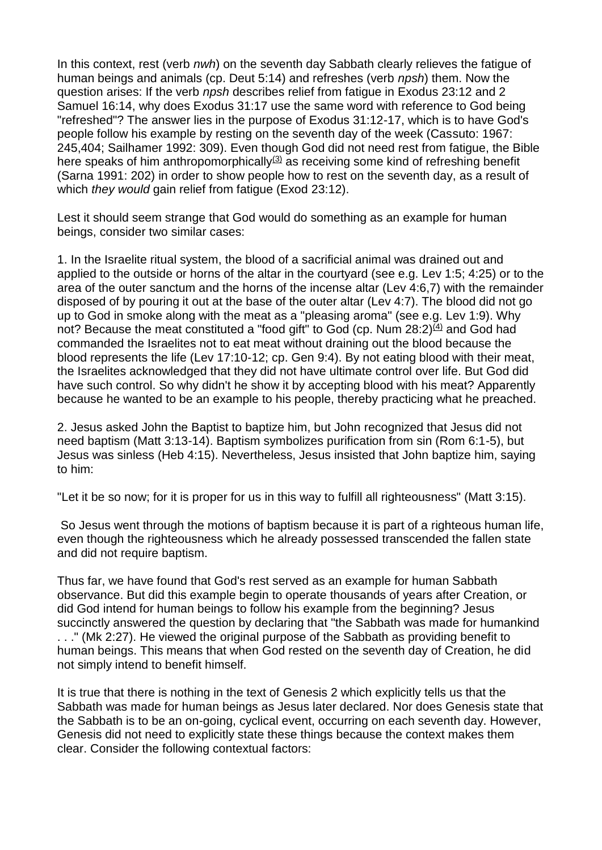In this context, rest (verb *nwh*) on the seventh day Sabbath clearly relieves the fatigue of human beings and animals (cp. Deut 5:14) and refreshes (verb *npsh*) them. Now the question arises: If the verb *npsh* describes relief from fatigue in Exodus 23:12 and 2 Samuel 16:14, why does Exodus 31:17 use the same word with reference to God being "refreshed"? The answer lies in the purpose of Exodus 31:12-17, which is to have God's people follow his example by resting on the seventh day of the week (Cassuto: 1967: 245,404; Sailhamer 1992: 309). Even though God did not need rest from fatigue, the Bible here speaks of him anthropomorphically $(3)$  as receiving some kind of refreshing benefit (Sarna 1991: 202) in order to show people how to rest on the seventh day, as a result of which *they would* gain relief from fatigue (Exod 23:12).

Lest it should seem strange that God would do something as an example for human beings, consider two similar cases:

1. In the Israelite ritual system, the blood of a sacrificial animal was drained out and applied to the outside or horns of the altar in the courtyard (see e.g. Lev 1:5; 4:25) or to the area of the outer sanctum and the horns of the incense altar (Lev 4:6,7) with the remainder disposed of by pouring it out at the base of the outer altar (Lev 4:7). The blood did not go up to God in smoke along with the meat as a "pleasing aroma" (see e.g. Lev 1:9). Why not? Because the meat constituted a "food gift" to God (cp. Num  $28:2\frac{(4)}{4}$  $28:2\frac{(4)}{4}$  $28:2\frac{(4)}{4}$  and God had commanded the Israelites not to eat meat without draining out the blood because the blood represents the life (Lev 17:10-12; cp. Gen 9:4). By not eating blood with their meat, the Israelites acknowledged that they did not have ultimate control over life. But God did have such control. So why didn't he show it by accepting blood with his meat? Apparently because he wanted to be an example to his people, thereby practicing what he preached.

2. Jesus asked John the Baptist to baptize him, but John recognized that Jesus did not need baptism (Matt 3:13-14). Baptism symbolizes purification from sin (Rom 6:1-5), but Jesus was sinless (Heb 4:15). Nevertheless, Jesus insisted that John baptize him, saying to him:

"Let it be so now; for it is proper for us in this way to fulfill all righteousness" (Matt 3:15).

So Jesus went through the motions of baptism because it is part of a righteous human life, even though the righteousness which he already possessed transcended the fallen state and did not require baptism.

Thus far, we have found that God's rest served as an example for human Sabbath observance. But did this example begin to operate thousands of years after Creation, or did God intend for human beings to follow his example from the beginning? Jesus succinctly answered the question by declaring that "the Sabbath was made for humankind . . ." (Mk 2:27). He viewed the original purpose of the Sabbath as providing benefit to human beings. This means that when God rested on the seventh day of Creation, he did not simply intend to benefit himself.

It is true that there is nothing in the text of Genesis 2 which explicitly tells us that the Sabbath was made for human beings as Jesus later declared. Nor does Genesis state that the Sabbath is to be an on-going, cyclical event, occurring on each seventh day. However, Genesis did not need to explicitly state these things because the context makes them clear. Consider the following contextual factors: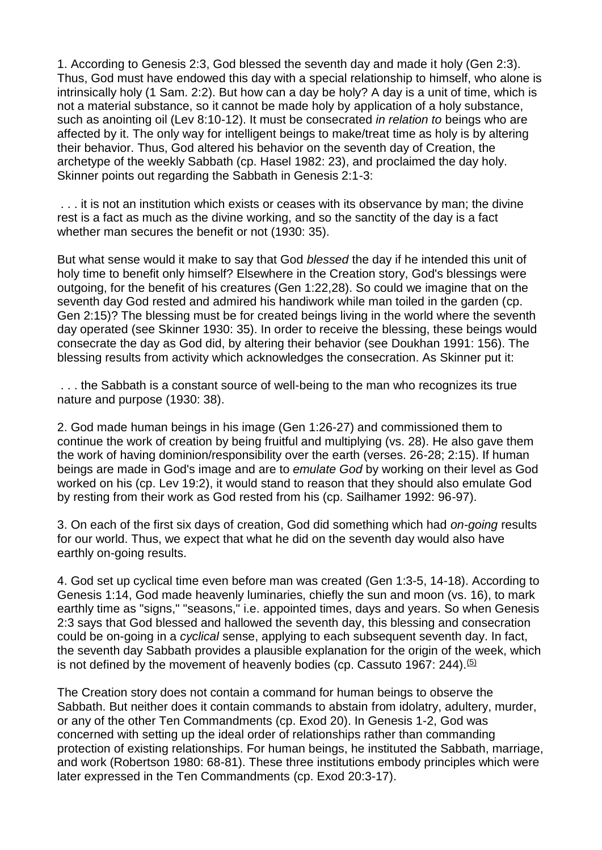1. According to Genesis 2:3, God blessed the seventh day and made it holy (Gen 2:3). Thus, God must have endowed this day with a special relationship to himself, who alone is intrinsically holy (1 Sam. 2:2). But how can a day be holy? A day is a unit of time, which is not a material substance, so it cannot be made holy by application of a holy substance, such as anointing oil (Lev 8:10-12). It must be consecrated *in relation to* beings who are affected by it. The only way for intelligent beings to make/treat time as holy is by altering their behavior. Thus, God altered his behavior on the seventh day of Creation, the archetype of the weekly Sabbath (cp. Hasel 1982: 23), and proclaimed the day holy. Skinner points out regarding the Sabbath in Genesis 2:1-3:

. . . it is not an institution which exists or ceases with its observance by man; the divine rest is a fact as much as the divine working, and so the sanctity of the day is a fact whether man secures the benefit or not (1930: 35).

But what sense would it make to say that God *blessed* the day if he intended this unit of holy time to benefit only himself? Elsewhere in the Creation story, God's blessings were outgoing, for the benefit of his creatures (Gen 1:22,28). So could we imagine that on the seventh day God rested and admired his handiwork while man toiled in the garden (cp. Gen 2:15)? The blessing must be for created beings living in the world where the seventh day operated (see Skinner 1930: 35). In order to receive the blessing, these beings would consecrate the day as God did, by altering their behavior (see Doukhan 1991: 156). The blessing results from activity which acknowledges the consecration. As Skinner put it:

. . . the Sabbath is a constant source of well-being to the man who recognizes its true nature and purpose (1930: 38).

2. God made human beings in his image (Gen 1:26-27) and commissioned them to continue the work of creation by being fruitful and multiplying (vs. 28). He also gave them the work of having dominion/responsibility over the earth (verses. 26-28; 2:15). If human beings are made in God's image and are to *emulate God* by working on their level as God worked on his (cp. Lev 19:2), it would stand to reason that they should also emulate God by resting from their work as God rested from his (cp. Sailhamer 1992: 96-97).

3. On each of the first six days of creation, God did something which had *on-going* results for our world. Thus, we expect that what he did on the seventh day would also have earthly on-going results.

4. God set up cyclical time even before man was created (Gen 1:3-5, 14-18). According to Genesis 1:14, God made heavenly luminaries, chiefly the sun and moon (vs. 16), to mark earthly time as "signs," "seasons," i.e. appointed times, days and years. So when Genesis 2:3 says that God blessed and hallowed the seventh day, this blessing and consecration could be on-going in a *cyclical* sense, applying to each subsequent seventh day. In fact, the seventh day Sabbath provides a plausible explanation for the origin of the week, which is not defined by the movement of heavenly bodies (cp. Cassuto 1967:  $244$ ).<sup>[\(5\)](http://www.sdanet.org/atissue/covenants/ganecov.htm#N_5_)</sup>

The Creation story does not contain a command for human beings to observe the Sabbath. But neither does it contain commands to abstain from idolatry, adultery, murder, or any of the other Ten Commandments (cp. Exod 20). In Genesis 1-2, God was concerned with setting up the ideal order of relationships rather than commanding protection of existing relationships. For human beings, he instituted the Sabbath, marriage, and work (Robertson 1980: 68-81). These three institutions embody principles which were later expressed in the Ten Commandments (cp. Exod 20:3-17).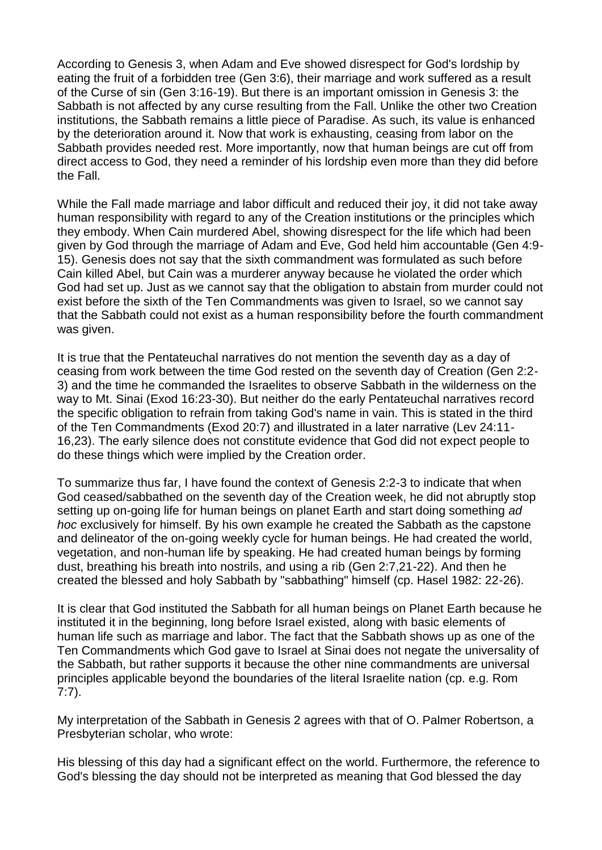According to Genesis 3, when Adam and Eve showed disrespect for God's lordship by eating the fruit of a forbidden tree (Gen 3:6), their marriage and work suffered as a result of the Curse of sin (Gen 3:16-19). But there is an important omission in Genesis 3: the Sabbath is not affected by any curse resulting from the Fall. Unlike the other two Creation institutions, the Sabbath remains a little piece of Paradise. As such, its value is enhanced by the deterioration around it. Now that work is exhausting, ceasing from labor on the Sabbath provides needed rest. More importantly, now that human beings are cut off from direct access to God, they need a reminder of his lordship even more than they did before the Fall.

While the Fall made marriage and labor difficult and reduced their joy, it did not take away human responsibility with regard to any of the Creation institutions or the principles which they embody. When Cain murdered Abel, showing disrespect for the life which had been given by God through the marriage of Adam and Eve, God held him accountable (Gen 4:9- 15). Genesis does not say that the sixth commandment was formulated as such before Cain killed Abel, but Cain was a murderer anyway because he violated the order which God had set up. Just as we cannot say that the obligation to abstain from murder could not exist before the sixth of the Ten Commandments was given to Israel, so we cannot say that the Sabbath could not exist as a human responsibility before the fourth commandment was given.

It is true that the Pentateuchal narratives do not mention the seventh day as a day of ceasing from work between the time God rested on the seventh day of Creation (Gen 2:2- 3) and the time he commanded the Israelites to observe Sabbath in the wilderness on the way to Mt. Sinai (Exod 16:23-30). But neither do the early Pentateuchal narratives record the specific obligation to refrain from taking God's name in vain. This is stated in the third of the Ten Commandments (Exod 20:7) and illustrated in a later narrative (Lev 24:11- 16,23). The early silence does not constitute evidence that God did not expect people to do these things which were implied by the Creation order.

To summarize thus far, I have found the context of Genesis 2:2-3 to indicate that when God ceased/sabbathed on the seventh day of the Creation week, he did not abruptly stop setting up on-going life for human beings on planet Earth and start doing something *ad hoc* exclusively for himself. By his own example he created the Sabbath as the capstone and delineator of the on-going weekly cycle for human beings. He had created the world, vegetation, and non-human life by speaking. He had created human beings by forming dust, breathing his breath into nostrils, and using a rib (Gen 2:7,21-22). And then he created the blessed and holy Sabbath by "sabbathing" himself (cp. Hasel 1982: 22-26).

It is clear that God instituted the Sabbath for all human beings on Planet Earth because he instituted it in the beginning, long before Israel existed, along with basic elements of human life such as marriage and labor. The fact that the Sabbath shows up as one of the Ten Commandments which God gave to Israel at Sinai does not negate the universality of the Sabbath, but rather supports it because the other nine commandments are universal principles applicable beyond the boundaries of the literal Israelite nation (cp. e.g. Rom 7:7).

My interpretation of the Sabbath in Genesis 2 agrees with that of O. Palmer Robertson, a Presbyterian scholar, who wrote:

His blessing of this day had a significant effect on the world. Furthermore, the reference to God's blessing the day should not be interpreted as meaning that God blessed the day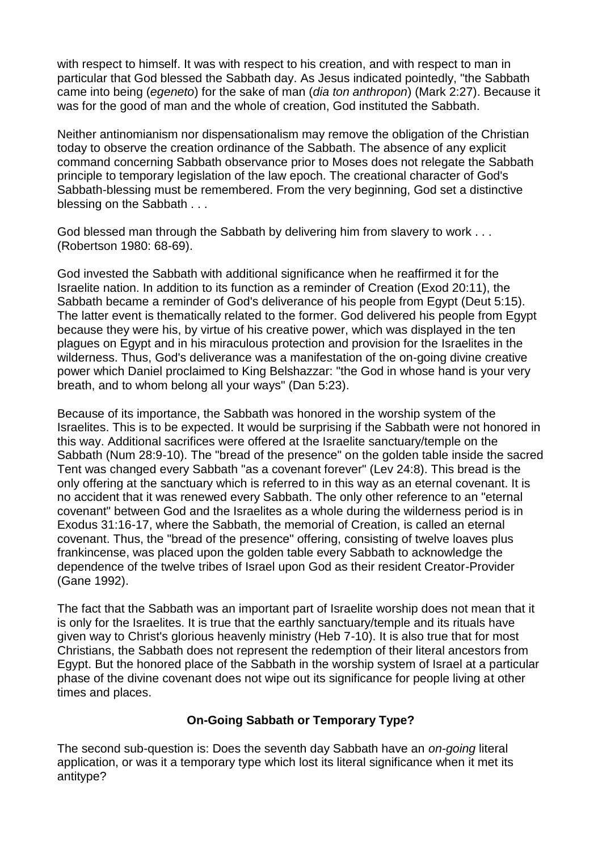with respect to himself. It was with respect to his creation, and with respect to man in particular that God blessed the Sabbath day. As Jesus indicated pointedly, "the Sabbath came into being (*egeneto*) for the sake of man (*dia ton anthropon*) (Mark 2:27). Because it was for the good of man and the whole of creation, God instituted the Sabbath.

Neither antinomianism nor dispensationalism may remove the obligation of the Christian today to observe the creation ordinance of the Sabbath. The absence of any explicit command concerning Sabbath observance prior to Moses does not relegate the Sabbath principle to temporary legislation of the law epoch. The creational character of God's Sabbath-blessing must be remembered. From the very beginning, God set a distinctive blessing on the Sabbath . . .

God blessed man through the Sabbath by delivering him from slavery to work . . . (Robertson 1980: 68-69).

God invested the Sabbath with additional significance when he reaffirmed it for the Israelite nation. In addition to its function as a reminder of Creation (Exod 20:11), the Sabbath became a reminder of God's deliverance of his people from Egypt (Deut 5:15). The latter event is thematically related to the former. God delivered his people from Egypt because they were his, by virtue of his creative power, which was displayed in the ten plagues on Egypt and in his miraculous protection and provision for the Israelites in the wilderness. Thus, God's deliverance was a manifestation of the on-going divine creative power which Daniel proclaimed to King Belshazzar: "the God in whose hand is your very breath, and to whom belong all your ways" (Dan 5:23).

Because of its importance, the Sabbath was honored in the worship system of the Israelites. This is to be expected. It would be surprising if the Sabbath were not honored in this way. Additional sacrifices were offered at the Israelite sanctuary/temple on the Sabbath (Num 28:9-10). The "bread of the presence" on the golden table inside the sacred Tent was changed every Sabbath "as a covenant forever" (Lev 24:8). This bread is the only offering at the sanctuary which is referred to in this way as an eternal covenant. It is no accident that it was renewed every Sabbath. The only other reference to an "eternal covenant" between God and the Israelites as a whole during the wilderness period is in Exodus 31:16-17, where the Sabbath, the memorial of Creation, is called an eternal covenant. Thus, the "bread of the presence" offering, consisting of twelve loaves plus frankincense, was placed upon the golden table every Sabbath to acknowledge the dependence of the twelve tribes of Israel upon God as their resident Creator-Provider (Gane 1992).

The fact that the Sabbath was an important part of Israelite worship does not mean that it is only for the Israelites. It is true that the earthly sanctuary/temple and its rituals have given way to Christ's glorious heavenly ministry (Heb 7-10). It is also true that for most Christians, the Sabbath does not represent the redemption of their literal ancestors from Egypt. But the honored place of the Sabbath in the worship system of Israel at a particular phase of the divine covenant does not wipe out its significance for people living at other times and places.

# **On-Going Sabbath or Temporary Type?**

The second sub-question is: Does the seventh day Sabbath have an *on-going* literal application, or was it a temporary type which lost its literal significance when it met its antitype?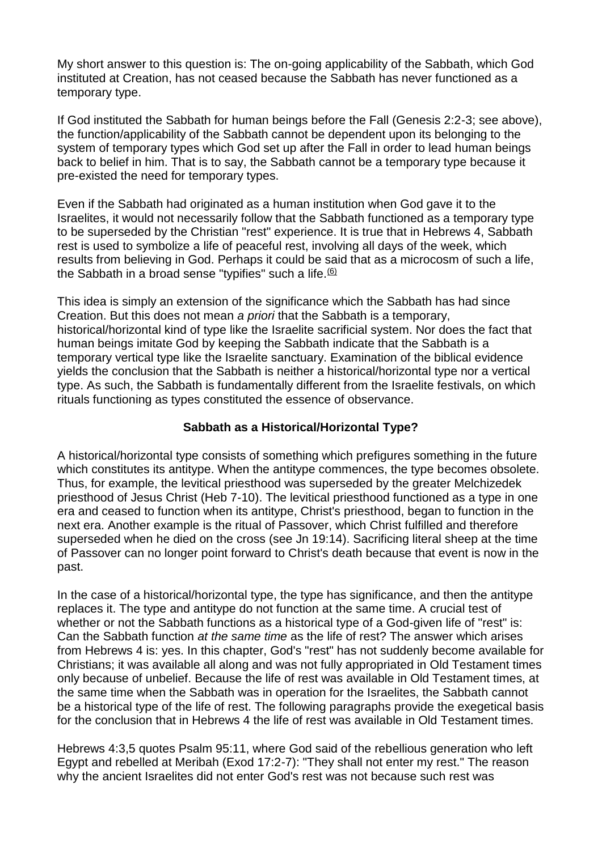My short answer to this question is: The on-going applicability of the Sabbath, which God instituted at Creation, has not ceased because the Sabbath has never functioned as a temporary type.

If God instituted the Sabbath for human beings before the Fall (Genesis 2:2-3; see above), the function/applicability of the Sabbath cannot be dependent upon its belonging to the system of temporary types which God set up after the Fall in order to lead human beings back to belief in him. That is to say, the Sabbath cannot be a temporary type because it pre-existed the need for temporary types.

Even if the Sabbath had originated as a human institution when God gave it to the Israelites, it would not necessarily follow that the Sabbath functioned as a temporary type to be superseded by the Christian "rest" experience. It is true that in Hebrews 4, Sabbath rest is used to symbolize a life of peaceful rest, involving all days of the week, which results from believing in God. Perhaps it could be said that as a microcosm of such a life, the Sabbath in a broad sense "typifies" such a life. $60/6$ 

This idea is simply an extension of the significance which the Sabbath has had since Creation. But this does not mean *a priori* that the Sabbath is a temporary, historical/horizontal kind of type like the Israelite sacrificial system. Nor does the fact that human beings imitate God by keeping the Sabbath indicate that the Sabbath is a temporary vertical type like the Israelite sanctuary. Examination of the biblical evidence yields the conclusion that the Sabbath is neither a historical/horizontal type nor a vertical type. As such, the Sabbath is fundamentally different from the Israelite festivals, on which rituals functioning as types constituted the essence of observance.

## **Sabbath as a Historical/Horizontal Type?**

A historical/horizontal type consists of something which prefigures something in the future which constitutes its antitype. When the antitype commences, the type becomes obsolete. Thus, for example, the levitical priesthood was superseded by the greater Melchizedek priesthood of Jesus Christ (Heb 7-10). The levitical priesthood functioned as a type in one era and ceased to function when its antitype, Christ's priesthood, began to function in the next era. Another example is the ritual of Passover, which Christ fulfilled and therefore superseded when he died on the cross (see Jn 19:14). Sacrificing literal sheep at the time of Passover can no longer point forward to Christ's death because that event is now in the past.

In the case of a historical/horizontal type, the type has significance, and then the antitype replaces it. The type and antitype do not function at the same time. A crucial test of whether or not the Sabbath functions as a historical type of a God-given life of "rest" is: Can the Sabbath function *at the same time* as the life of rest? The answer which arises from Hebrews 4 is: yes. In this chapter, God's "rest" has not suddenly become available for Christians; it was available all along and was not fully appropriated in Old Testament times only because of unbelief. Because the life of rest was available in Old Testament times, at the same time when the Sabbath was in operation for the Israelites, the Sabbath cannot be a historical type of the life of rest. The following paragraphs provide the exegetical basis for the conclusion that in Hebrews 4 the life of rest was available in Old Testament times.

Hebrews 4:3,5 quotes Psalm 95:11, where God said of the rebellious generation who left Egypt and rebelled at Meribah (Exod 17:2-7): "They shall not enter my rest." The reason why the ancient Israelites did not enter God's rest was not because such rest was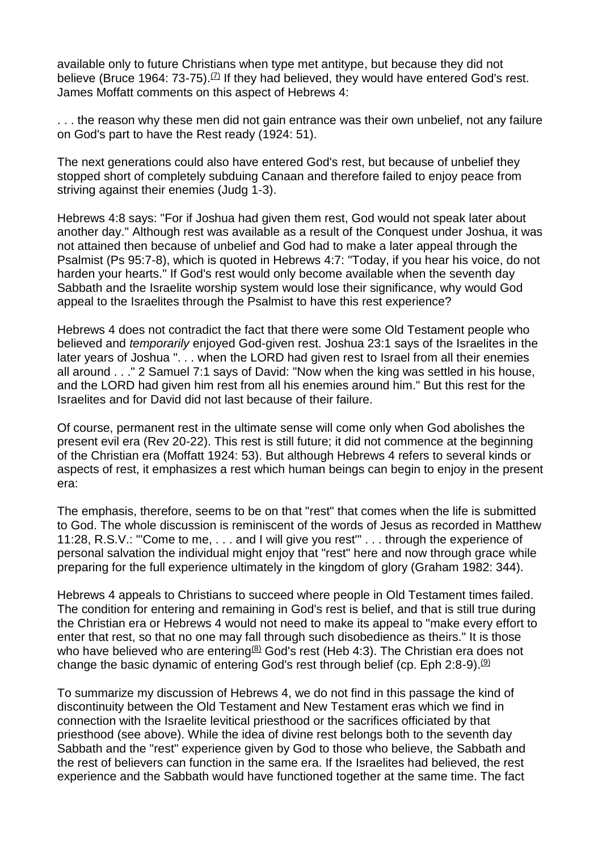available only to future Christians when type met antitype, but because they did not believe (Bruce 1964:  $73-75$ ).<sup>[\(7\)](http://www.sdanet.org/atissue/covenants/ganecov.htm#N_7_)</sup> If they had believed, they would have entered God's rest. James Moffatt comments on this aspect of Hebrews 4:

. . . the reason why these men did not gain entrance was their own unbelief, not any failure on God's part to have the Rest ready (1924: 51).

The next generations could also have entered God's rest, but because of unbelief they stopped short of completely subduing Canaan and therefore failed to enjoy peace from striving against their enemies (Judg 1-3).

Hebrews 4:8 says: "For if Joshua had given them rest, God would not speak later about another day." Although rest was available as a result of the Conquest under Joshua, it was not attained then because of unbelief and God had to make a later appeal through the Psalmist (Ps 95:7-8), which is quoted in Hebrews 4:7: "Today, if you hear his voice, do not harden your hearts." If God's rest would only become available when the seventh day Sabbath and the Israelite worship system would lose their significance, why would God appeal to the Israelites through the Psalmist to have this rest experience?

Hebrews 4 does not contradict the fact that there were some Old Testament people who believed and *temporarily* enjoyed God-given rest. Joshua 23:1 says of the Israelites in the later years of Joshua ". . . when the LORD had given rest to Israel from all their enemies all around . . ." 2 Samuel 7:1 says of David: "Now when the king was settled in his house, and the LORD had given him rest from all his enemies around him." But this rest for the Israelites and for David did not last because of their failure.

Of course, permanent rest in the ultimate sense will come only when God abolishes the present evil era (Rev 20-22). This rest is still future; it did not commence at the beginning of the Christian era (Moffatt 1924: 53). But although Hebrews 4 refers to several kinds or aspects of rest, it emphasizes a rest which human beings can begin to enjoy in the present era:

The emphasis, therefore, seems to be on that "rest" that comes when the life is submitted to God. The whole discussion is reminiscent of the words of Jesus as recorded in Matthew 11:28, R.S.V.: "'Come to me, . . . and I will give you rest'" . . . through the experience of personal salvation the individual might enjoy that "rest" here and now through grace while preparing for the full experience ultimately in the kingdom of glory (Graham 1982: 344).

Hebrews 4 appeals to Christians to succeed where people in Old Testament times failed. The condition for entering and remaining in God's rest is belief, and that is still true during the Christian era or Hebrews 4 would not need to make its appeal to "make every effort to enter that rest, so that no one may fall through such disobedience as theirs." It is those who have believed who are entering<sup>[\(8\)](http://www.sdanet.org/atissue/covenants/ganecov.htm#N_8_)</sup> God's rest (Heb 4:3). The Christian era does not change the basic dynamic of entering God's rest through belief (cp. Eph 2:8-9).<sup>[\(9\)](http://www.sdanet.org/atissue/covenants/ganecov.htm#N_9_)</sup>

To summarize my discussion of Hebrews 4, we do not find in this passage the kind of discontinuity between the Old Testament and New Testament eras which we find in connection with the Israelite levitical priesthood or the sacrifices officiated by that priesthood (see above). While the idea of divine rest belongs both to the seventh day Sabbath and the "rest" experience given by God to those who believe, the Sabbath and the rest of believers can function in the same era. If the Israelites had believed, the rest experience and the Sabbath would have functioned together at the same time. The fact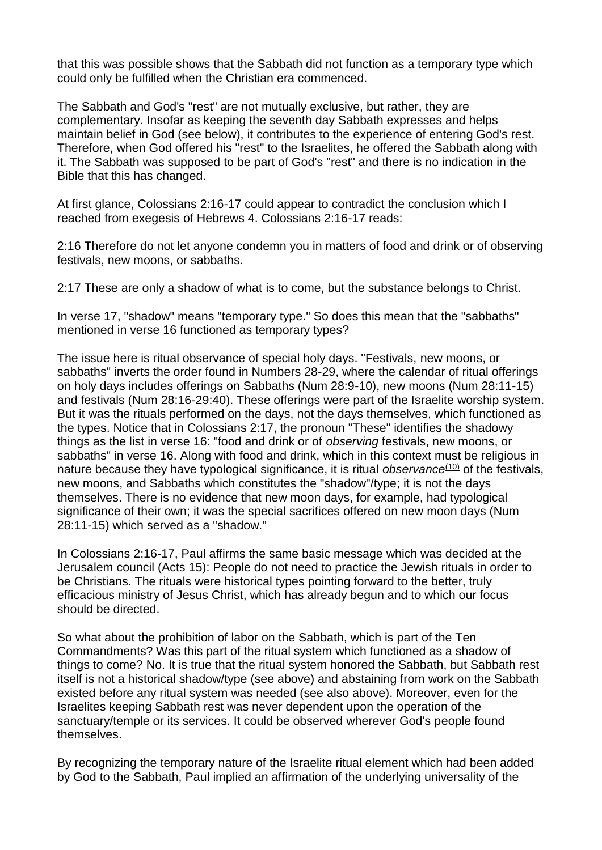that this was possible shows that the Sabbath did not function as a temporary type which could only be fulfilled when the Christian era commenced.

The Sabbath and God's "rest" are not mutually exclusive, but rather, they are complementary. Insofar as keeping the seventh day Sabbath expresses and helps maintain belief in God (see below), it contributes to the experience of entering God's rest. Therefore, when God offered his "rest" to the Israelites, he offered the Sabbath along with it. The Sabbath was supposed to be part of God's "rest" and there is no indication in the Bible that this has changed.

At first glance, Colossians 2:16-17 could appear to contradict the conclusion which I reached from exegesis of Hebrews 4. Colossians 2:16-17 reads:

2:16 Therefore do not let anyone condemn you in matters of food and drink or of observing festivals, new moons, or sabbaths.

2:17 These are only a shadow of what is to come, but the substance belongs to Christ.

In verse 17, "shadow" means "temporary type." So does this mean that the "sabbaths" mentioned in verse 16 functioned as temporary types?

The issue here is ritual observance of special holy days. "Festivals, new moons, or sabbaths" inverts the order found in Numbers 28-29, where the calendar of ritual offerings on holy days includes offerings on Sabbaths (Num 28:9-10), new moons (Num 28:11-15) and festivals (Num 28:16-29:40). These offerings were part of the Israelite worship system. But it was the rituals performed on the days, not the days themselves, which functioned as the types. Notice that in Colossians 2:17, the pronoun "These" identifies the shadowy things as the list in verse 16: "food and drink or of *observing* festivals, new moons, or sabbaths" in verse 16. Along with food and drink, which in this context must be religious in nature because they have typological significance, it is ritual *observance*<sup>[\(10\)](http://www.sdanet.org/atissue/covenants/ganecov.htm#N_10_)</sup> of the festivals, new moons, and Sabbaths which constitutes the "shadow"/type; it is not the days themselves. There is no evidence that new moon days, for example, had typological significance of their own; it was the special sacrifices offered on new moon days (Num 28:11-15) which served as a "shadow."

In Colossians 2:16-17, Paul affirms the same basic message which was decided at the Jerusalem council (Acts 15): People do not need to practice the Jewish rituals in order to be Christians. The rituals were historical types pointing forward to the better, truly efficacious ministry of Jesus Christ, which has already begun and to which our focus should be directed.

So what about the prohibition of labor on the Sabbath, which is part of the Ten Commandments? Was this part of the ritual system which functioned as a shadow of things to come? No. It is true that the ritual system honored the Sabbath, but Sabbath rest itself is not a historical shadow/type (see above) and abstaining from work on the Sabbath existed before any ritual system was needed (see also above). Moreover, even for the Israelites keeping Sabbath rest was never dependent upon the operation of the sanctuary/temple or its services. It could be observed wherever God's people found themselves.

By recognizing the temporary nature of the Israelite ritual element which had been added by God to the Sabbath, Paul implied an affirmation of the underlying universality of the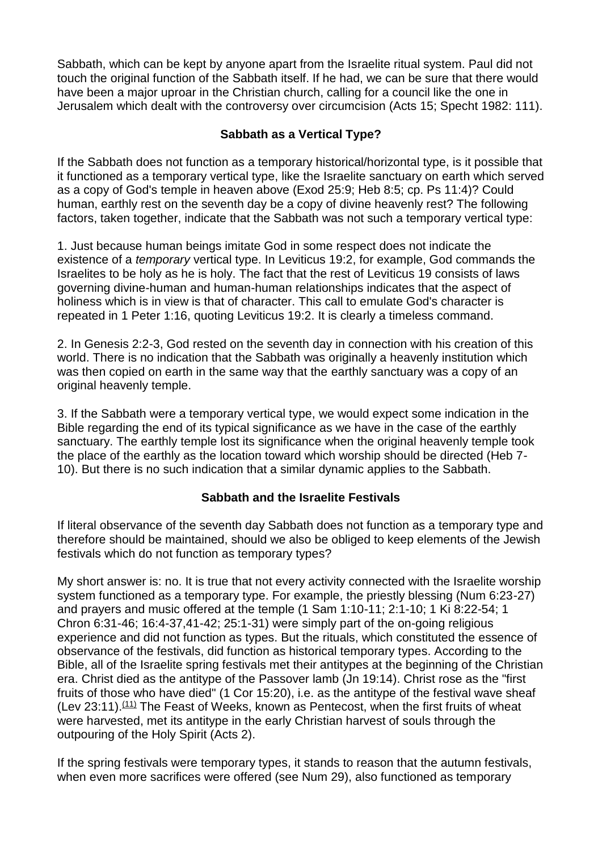Sabbath, which can be kept by anyone apart from the Israelite ritual system. Paul did not touch the original function of the Sabbath itself. If he had, we can be sure that there would have been a major uproar in the Christian church, calling for a council like the one in Jerusalem which dealt with the controversy over circumcision (Acts 15; Specht 1982: 111).

# **Sabbath as a Vertical Type?**

If the Sabbath does not function as a temporary historical/horizontal type, is it possible that it functioned as a temporary vertical type, like the Israelite sanctuary on earth which served as a copy of God's temple in heaven above (Exod 25:9; Heb 8:5; cp. Ps 11:4)? Could human, earthly rest on the seventh day be a copy of divine heavenly rest? The following factors, taken together, indicate that the Sabbath was not such a temporary vertical type:

1. Just because human beings imitate God in some respect does not indicate the existence of a *temporary* vertical type. In Leviticus 19:2, for example, God commands the Israelites to be holy as he is holy. The fact that the rest of Leviticus 19 consists of laws governing divine-human and human-human relationships indicates that the aspect of holiness which is in view is that of character. This call to emulate God's character is repeated in 1 Peter 1:16, quoting Leviticus 19:2. It is clearly a timeless command.

2. In Genesis 2:2-3, God rested on the seventh day in connection with his creation of this world. There is no indication that the Sabbath was originally a heavenly institution which was then copied on earth in the same way that the earthly sanctuary was a copy of an original heavenly temple.

3. If the Sabbath were a temporary vertical type, we would expect some indication in the Bible regarding the end of its typical significance as we have in the case of the earthly sanctuary. The earthly temple lost its significance when the original heavenly temple took the place of the earthly as the location toward which worship should be directed (Heb 7- 10). But there is no such indication that a similar dynamic applies to the Sabbath.

# **Sabbath and the Israelite Festivals**

If literal observance of the seventh day Sabbath does not function as a temporary type and therefore should be maintained, should we also be obliged to keep elements of the Jewish festivals which do not function as temporary types?

My short answer is: no. It is true that not every activity connected with the Israelite worship system functioned as a temporary type. For example, the priestly blessing (Num 6:23-27) and prayers and music offered at the temple (1 Sam 1:10-11; 2:1-10; 1 Ki 8:22-54; 1 Chron 6:31-46; 16:4-37,41-42; 25:1-31) were simply part of the on-going religious experience and did not function as types. But the rituals, which constituted the essence of observance of the festivals, did function as historical temporary types. According to the Bible, all of the Israelite spring festivals met their antitypes at the beginning of the Christian era. Christ died as the antitype of the Passover lamb (Jn 19:14). Christ rose as the "first fruits of those who have died" (1 Cor 15:20), i.e. as the antitype of the festival wave sheaf (Lev 23:11). $(11)$  The Feast of Weeks, known as Pentecost, when the first fruits of wheat were harvested, met its antitype in the early Christian harvest of souls through the outpouring of the Holy Spirit (Acts 2).

If the spring festivals were temporary types, it stands to reason that the autumn festivals, when even more sacrifices were offered (see Num 29), also functioned as temporary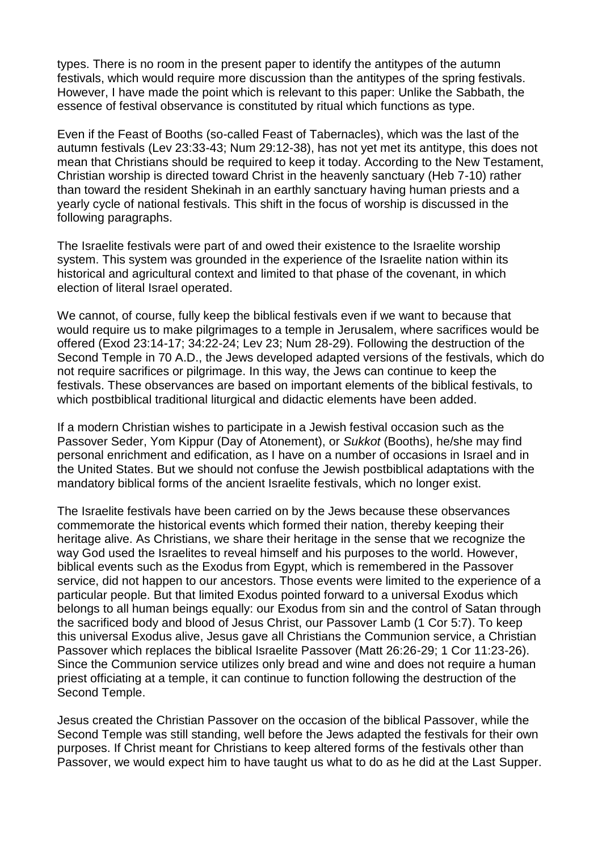types. There is no room in the present paper to identify the antitypes of the autumn festivals, which would require more discussion than the antitypes of the spring festivals. However, I have made the point which is relevant to this paper: Unlike the Sabbath, the essence of festival observance is constituted by ritual which functions as type.

Even if the Feast of Booths (so-called Feast of Tabernacles), which was the last of the autumn festivals (Lev 23:33-43; Num 29:12-38), has not yet met its antitype, this does not mean that Christians should be required to keep it today. According to the New Testament, Christian worship is directed toward Christ in the heavenly sanctuary (Heb 7-10) rather than toward the resident Shekinah in an earthly sanctuary having human priests and a yearly cycle of national festivals. This shift in the focus of worship is discussed in the following paragraphs.

The Israelite festivals were part of and owed their existence to the Israelite worship system. This system was grounded in the experience of the Israelite nation within its historical and agricultural context and limited to that phase of the covenant, in which election of literal Israel operated.

We cannot, of course, fully keep the biblical festivals even if we want to because that would require us to make pilgrimages to a temple in Jerusalem, where sacrifices would be offered (Exod 23:14-17; 34:22-24; Lev 23; Num 28-29). Following the destruction of the Second Temple in 70 A.D., the Jews developed adapted versions of the festivals, which do not require sacrifices or pilgrimage. In this way, the Jews can continue to keep the festivals. These observances are based on important elements of the biblical festivals, to which postbiblical traditional liturgical and didactic elements have been added.

If a modern Christian wishes to participate in a Jewish festival occasion such as the Passover Seder, Yom Kippur (Day of Atonement), or *Sukkot* (Booths), he/she may find personal enrichment and edification, as I have on a number of occasions in Israel and in the United States. But we should not confuse the Jewish postbiblical adaptations with the mandatory biblical forms of the ancient Israelite festivals, which no longer exist.

The Israelite festivals have been carried on by the Jews because these observances commemorate the historical events which formed their nation, thereby keeping their heritage alive. As Christians, we share their heritage in the sense that we recognize the way God used the Israelites to reveal himself and his purposes to the world. However, biblical events such as the Exodus from Egypt, which is remembered in the Passover service, did not happen to our ancestors. Those events were limited to the experience of a particular people. But that limited Exodus pointed forward to a universal Exodus which belongs to all human beings equally: our Exodus from sin and the control of Satan through the sacrificed body and blood of Jesus Christ, our Passover Lamb (1 Cor 5:7). To keep this universal Exodus alive, Jesus gave all Christians the Communion service, a Christian Passover which replaces the biblical Israelite Passover (Matt 26:26-29; 1 Cor 11:23-26). Since the Communion service utilizes only bread and wine and does not require a human priest officiating at a temple, it can continue to function following the destruction of the Second Temple.

Jesus created the Christian Passover on the occasion of the biblical Passover, while the Second Temple was still standing, well before the Jews adapted the festivals for their own purposes. If Christ meant for Christians to keep altered forms of the festivals other than Passover, we would expect him to have taught us what to do as he did at the Last Supper.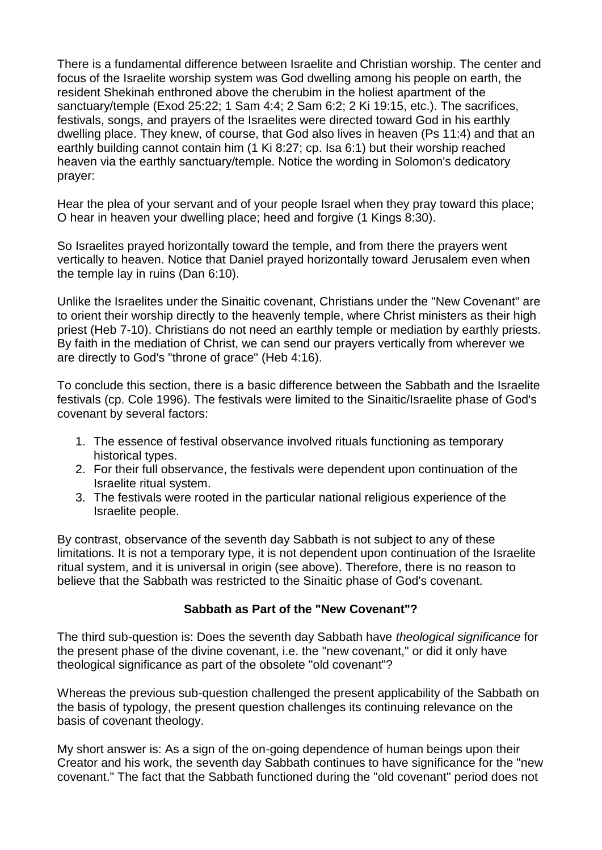There is a fundamental difference between Israelite and Christian worship. The center and focus of the Israelite worship system was God dwelling among his people on earth, the resident Shekinah enthroned above the cherubim in the holiest apartment of the sanctuary/temple (Exod 25:22; 1 Sam 4:4; 2 Sam 6:2; 2 Ki 19:15, etc.). The sacrifices, festivals, songs, and prayers of the Israelites were directed toward God in his earthly dwelling place. They knew, of course, that God also lives in heaven (Ps 11:4) and that an earthly building cannot contain him (1 Ki 8:27; cp. Isa 6:1) but their worship reached heaven via the earthly sanctuary/temple. Notice the wording in Solomon's dedicatory prayer:

Hear the plea of your servant and of your people Israel when they pray toward this place; O hear in heaven your dwelling place; heed and forgive (1 Kings 8:30).

So Israelites prayed horizontally toward the temple, and from there the prayers went vertically to heaven. Notice that Daniel prayed horizontally toward Jerusalem even when the temple lay in ruins (Dan 6:10).

Unlike the Israelites under the Sinaitic covenant, Christians under the "New Covenant" are to orient their worship directly to the heavenly temple, where Christ ministers as their high priest (Heb 7-10). Christians do not need an earthly temple or mediation by earthly priests. By faith in the mediation of Christ, we can send our prayers vertically from wherever we are directly to God's "throne of grace" (Heb 4:16).

To conclude this section, there is a basic difference between the Sabbath and the Israelite festivals (cp. Cole 1996). The festivals were limited to the Sinaitic/Israelite phase of God's covenant by several factors:

- 1. The essence of festival observance involved rituals functioning as temporary historical types.
- 2. For their full observance, the festivals were dependent upon continuation of the Israelite ritual system.
- 3. The festivals were rooted in the particular national religious experience of the Israelite people.

By contrast, observance of the seventh day Sabbath is not subject to any of these limitations. It is not a temporary type, it is not dependent upon continuation of the Israelite ritual system, and it is universal in origin (see above). Therefore, there is no reason to believe that the Sabbath was restricted to the Sinaitic phase of God's covenant.

# **Sabbath as Part of the "New Covenant"?**

The third sub-question is: Does the seventh day Sabbath have *theological significance* for the present phase of the divine covenant, i.e. the "new covenant," or did it only have theological significance as part of the obsolete "old covenant"?

Whereas the previous sub-question challenged the present applicability of the Sabbath on the basis of typology, the present question challenges its continuing relevance on the basis of covenant theology.

My short answer is: As a sign of the on-going dependence of human beings upon their Creator and his work, the seventh day Sabbath continues to have significance for the "new covenant." The fact that the Sabbath functioned during the "old covenant" period does not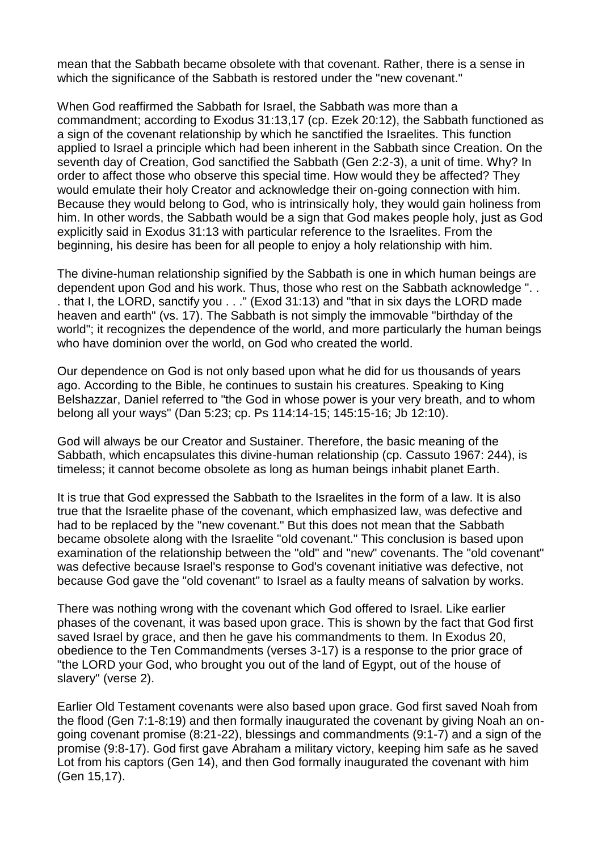mean that the Sabbath became obsolete with that covenant. Rather, there is a sense in which the significance of the Sabbath is restored under the "new covenant."

When God reaffirmed the Sabbath for Israel, the Sabbath was more than a commandment; according to Exodus 31:13,17 (cp. Ezek 20:12), the Sabbath functioned as a sign of the covenant relationship by which he sanctified the Israelites. This function applied to Israel a principle which had been inherent in the Sabbath since Creation. On the seventh day of Creation, God sanctified the Sabbath (Gen 2:2-3), a unit of time. Why? In order to affect those who observe this special time. How would they be affected? They would emulate their holy Creator and acknowledge their on-going connection with him. Because they would belong to God, who is intrinsically holy, they would gain holiness from him. In other words, the Sabbath would be a sign that God makes people holy, just as God explicitly said in Exodus 31:13 with particular reference to the Israelites. From the beginning, his desire has been for all people to enjoy a holy relationship with him.

The divine-human relationship signified by the Sabbath is one in which human beings are dependent upon God and his work. Thus, those who rest on the Sabbath acknowledge ". . . that I, the LORD, sanctify you . . ." (Exod 31:13) and "that in six days the LORD made heaven and earth" (vs. 17). The Sabbath is not simply the immovable "birthday of the world"; it recognizes the dependence of the world, and more particularly the human beings who have dominion over the world, on God who created the world.

Our dependence on God is not only based upon what he did for us thousands of years ago. According to the Bible, he continues to sustain his creatures. Speaking to King Belshazzar, Daniel referred to "the God in whose power is your very breath, and to whom belong all your ways" (Dan 5:23; cp. Ps 114:14-15; 145:15-16; Jb 12:10).

God will always be our Creator and Sustainer. Therefore, the basic meaning of the Sabbath, which encapsulates this divine-human relationship (cp. Cassuto 1967: 244), is timeless; it cannot become obsolete as long as human beings inhabit planet Earth.

It is true that God expressed the Sabbath to the Israelites in the form of a law. It is also true that the Israelite phase of the covenant, which emphasized law, was defective and had to be replaced by the "new covenant." But this does not mean that the Sabbath became obsolete along with the Israelite "old covenant." This conclusion is based upon examination of the relationship between the "old" and "new" covenants. The "old covenant" was defective because Israel's response to God's covenant initiative was defective, not because God gave the "old covenant" to Israel as a faulty means of salvation by works.

There was nothing wrong with the covenant which God offered to Israel. Like earlier phases of the covenant, it was based upon grace. This is shown by the fact that God first saved Israel by grace, and then he gave his commandments to them. In Exodus 20, obedience to the Ten Commandments (verses 3-17) is a response to the prior grace of "the LORD your God, who brought you out of the land of Egypt, out of the house of slavery" (verse 2).

Earlier Old Testament covenants were also based upon grace. God first saved Noah from the flood (Gen 7:1-8:19) and then formally inaugurated the covenant by giving Noah an ongoing covenant promise (8:21-22), blessings and commandments (9:1-7) and a sign of the promise (9:8-17). God first gave Abraham a military victory, keeping him safe as he saved Lot from his captors (Gen 14), and then God formally inaugurated the covenant with him (Gen 15,17).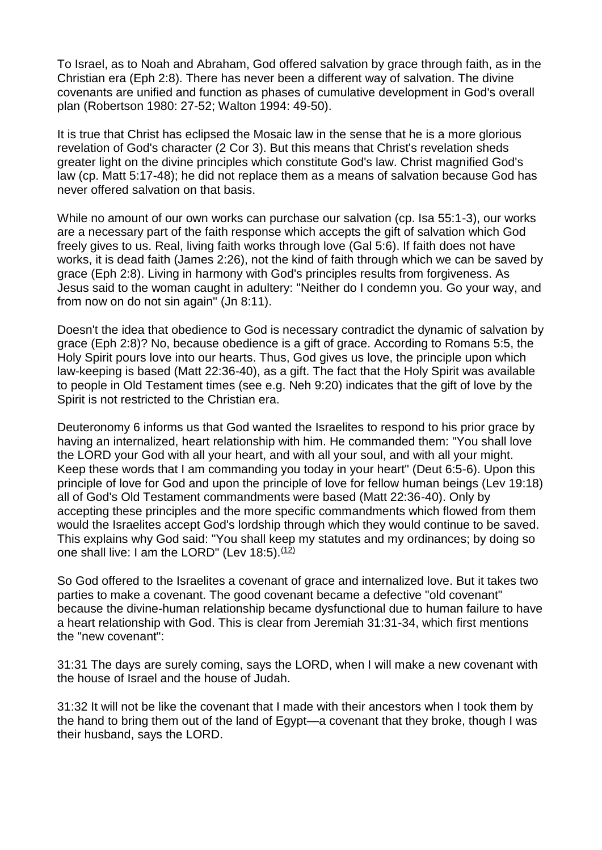To Israel, as to Noah and Abraham, God offered salvation by grace through faith, as in the Christian era (Eph 2:8). There has never been a different way of salvation. The divine covenants are unified and function as phases of cumulative development in God's overall plan (Robertson 1980: 27-52; Walton 1994: 49-50).

It is true that Christ has eclipsed the Mosaic law in the sense that he is a more glorious revelation of God's character (2 Cor 3). But this means that Christ's revelation sheds greater light on the divine principles which constitute God's law. Christ magnified God's law (cp. Matt 5:17-48); he did not replace them as a means of salvation because God has never offered salvation on that basis.

While no amount of our own works can purchase our salvation (cp. Isa 55:1-3), our works are a necessary part of the faith response which accepts the gift of salvation which God freely gives to us. Real, living faith works through love (Gal 5:6). If faith does not have works, it is dead faith (James 2:26), not the kind of faith through which we can be saved by grace (Eph 2:8). Living in harmony with God's principles results from forgiveness. As Jesus said to the woman caught in adultery: "Neither do I condemn you. Go your way, and from now on do not sin again" (Jn 8:11).

Doesn't the idea that obedience to God is necessary contradict the dynamic of salvation by grace (Eph 2:8)? No, because obedience is a gift of grace. According to Romans 5:5, the Holy Spirit pours love into our hearts. Thus, God gives us love, the principle upon which law-keeping is based (Matt 22:36-40), as a gift. The fact that the Holy Spirit was available to people in Old Testament times (see e.g. Neh 9:20) indicates that the gift of love by the Spirit is not restricted to the Christian era.

Deuteronomy 6 informs us that God wanted the Israelites to respond to his prior grace by having an internalized, heart relationship with him. He commanded them: "You shall love the LORD your God with all your heart, and with all your soul, and with all your might. Keep these words that I am commanding you today in your heart" (Deut 6:5-6). Upon this principle of love for God and upon the principle of love for fellow human beings (Lev 19:18) all of God's Old Testament commandments were based (Matt 22:36-40). Only by accepting these principles and the more specific commandments which flowed from them would the Israelites accept God's lordship through which they would continue to be saved. This explains why God said: "You shall keep my statutes and my ordinances; by doing so one shall live: I am the LORD" (Lev  $18:5$ ).  $(12)$ 

So God offered to the Israelites a covenant of grace and internalized love. But it takes two parties to make a covenant. The good covenant became a defective "old covenant" because the divine-human relationship became dysfunctional due to human failure to have a heart relationship with God. This is clear from Jeremiah 31:31-34, which first mentions the "new covenant":

31:31 The days are surely coming, says the LORD, when I will make a new covenant with the house of Israel and the house of Judah.

31:32 It will not be like the covenant that I made with their ancestors when I took them by the hand to bring them out of the land of Egypt—a covenant that they broke, though I was their husband, says the LORD.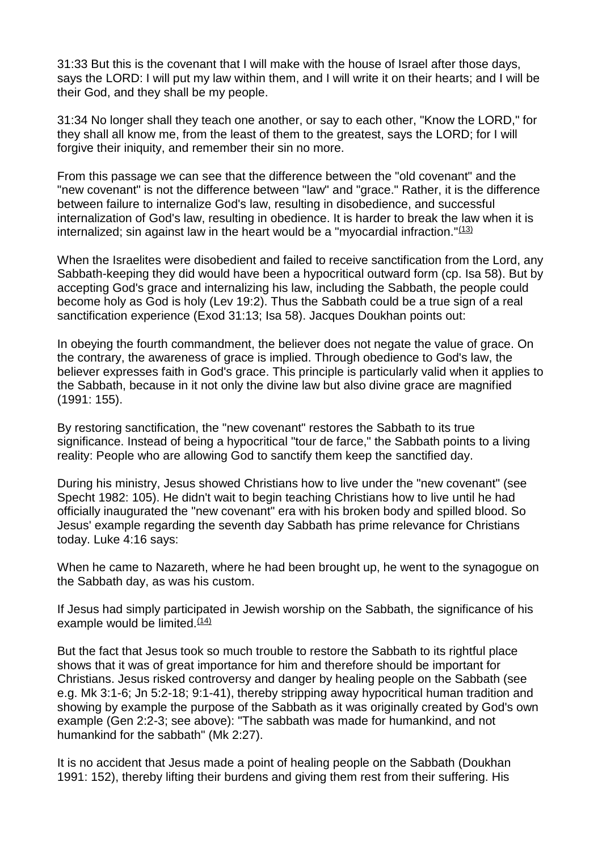31:33 But this is the covenant that I will make with the house of Israel after those days, says the LORD: I will put my law within them, and I will write it on their hearts; and I will be their God, and they shall be my people.

31:34 No longer shall they teach one another, or say to each other, "Know the LORD," for they shall all know me, from the least of them to the greatest, says the LORD; for I will forgive their iniquity, and remember their sin no more.

From this passage we can see that the difference between the "old covenant" and the "new covenant" is not the difference between "law" and "grace." Rather, it is the difference between failure to internalize God's law, resulting in disobedience, and successful internalization of God's law, resulting in obedience. It is harder to break the law when it is internalized; sin against law in the heart would be a "myocardial infraction." $(13)$ 

When the Israelites were disobedient and failed to receive sanctification from the Lord, any Sabbath-keeping they did would have been a hypocritical outward form (cp. Isa 58). But by accepting God's grace and internalizing his law, including the Sabbath, the people could become holy as God is holy (Lev 19:2). Thus the Sabbath could be a true sign of a real sanctification experience (Exod 31:13; Isa 58). Jacques Doukhan points out:

In obeying the fourth commandment, the believer does not negate the value of grace. On the contrary, the awareness of grace is implied. Through obedience to God's law, the believer expresses faith in God's grace. This principle is particularly valid when it applies to the Sabbath, because in it not only the divine law but also divine grace are magnified (1991: 155).

By restoring sanctification, the "new covenant" restores the Sabbath to its true significance. Instead of being a hypocritical "tour de farce," the Sabbath points to a living reality: People who are allowing God to sanctify them keep the sanctified day.

During his ministry, Jesus showed Christians how to live under the "new covenant" (see Specht 1982: 105). He didn't wait to begin teaching Christians how to live until he had officially inaugurated the "new covenant" era with his broken body and spilled blood. So Jesus' example regarding the seventh day Sabbath has prime relevance for Christians today. Luke 4:16 says:

When he came to Nazareth, where he had been brought up, he went to the synagogue on the Sabbath day, as was his custom.

If Jesus had simply participated in Jewish worship on the Sabbath, the significance of his example would be limited. $(14)$ 

But the fact that Jesus took so much trouble to restore the Sabbath to its rightful place shows that it was of great importance for him and therefore should be important for Christians. Jesus risked controversy and danger by healing people on the Sabbath (see e.g. Mk 3:1-6; Jn 5:2-18; 9:1-41), thereby stripping away hypocritical human tradition and showing by example the purpose of the Sabbath as it was originally created by God's own example (Gen 2:2-3; see above): "The sabbath was made for humankind, and not humankind for the sabbath" (Mk 2:27).

It is no accident that Jesus made a point of healing people on the Sabbath (Doukhan 1991: 152), thereby lifting their burdens and giving them rest from their suffering. His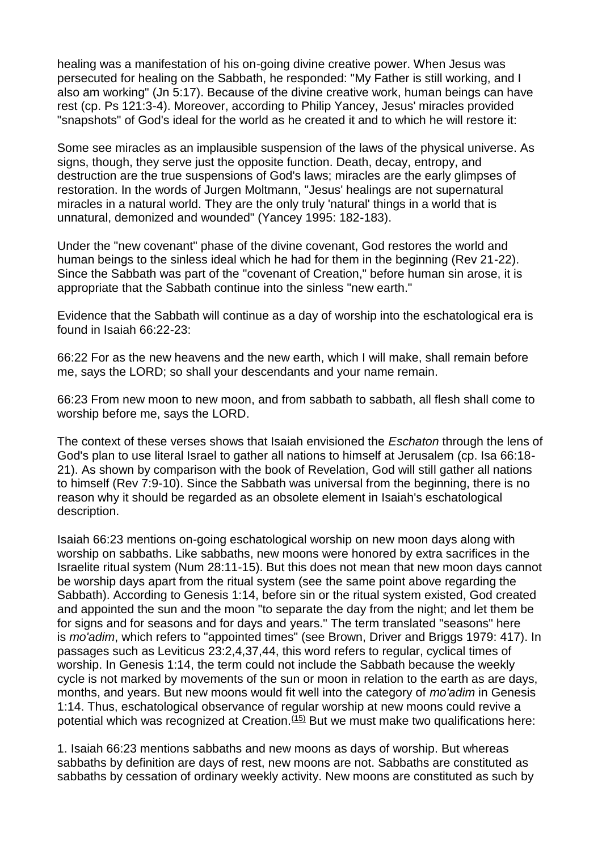healing was a manifestation of his on-going divine creative power. When Jesus was persecuted for healing on the Sabbath, he responded: "My Father is still working, and I also am working" (Jn 5:17). Because of the divine creative work, human beings can have rest (cp. Ps 121:3-4). Moreover, according to Philip Yancey, Jesus' miracles provided "snapshots" of God's ideal for the world as he created it and to which he will restore it:

Some see miracles as an implausible suspension of the laws of the physical universe. As signs, though, they serve just the opposite function. Death, decay, entropy, and destruction are the true suspensions of God's laws; miracles are the early glimpses of restoration. In the words of Jurgen Moltmann, "Jesus' healings are not supernatural miracles in a natural world. They are the only truly 'natural' things in a world that is unnatural, demonized and wounded" (Yancey 1995: 182-183).

Under the "new covenant" phase of the divine covenant, God restores the world and human beings to the sinless ideal which he had for them in the beginning (Rev 21-22). Since the Sabbath was part of the "covenant of Creation," before human sin arose, it is appropriate that the Sabbath continue into the sinless "new earth."

Evidence that the Sabbath will continue as a day of worship into the eschatological era is found in Isaiah 66:22-23:

66:22 For as the new heavens and the new earth, which I will make, shall remain before me, says the LORD; so shall your descendants and your name remain.

66:23 From new moon to new moon, and from sabbath to sabbath, all flesh shall come to worship before me, says the LORD.

The context of these verses shows that Isaiah envisioned the *Eschaton* through the lens of God's plan to use literal Israel to gather all nations to himself at Jerusalem (cp. Isa 66:18- 21). As shown by comparison with the book of Revelation, God will still gather all nations to himself (Rev 7:9-10). Since the Sabbath was universal from the beginning, there is no reason why it should be regarded as an obsolete element in Isaiah's eschatological description.

Isaiah 66:23 mentions on-going eschatological worship on new moon days along with worship on sabbaths. Like sabbaths, new moons were honored by extra sacrifices in the Israelite ritual system (Num 28:11-15). But this does not mean that new moon days cannot be worship days apart from the ritual system (see the same point above regarding the Sabbath). According to Genesis 1:14, before sin or the ritual system existed, God created and appointed the sun and the moon "to separate the day from the night; and let them be for signs and for seasons and for days and years." The term translated "seasons" here is *mo'adim*, which refers to "appointed times" (see Brown, Driver and Briggs 1979: 417). In passages such as Leviticus 23:2,4,37,44, this word refers to regular, cyclical times of worship. In Genesis 1:14, the term could not include the Sabbath because the weekly cycle is not marked by movements of the sun or moon in relation to the earth as are days, months, and years. But new moons would fit well into the category of *mo'adim* in Genesis 1:14. Thus, eschatological observance of regular worship at new moons could revive a potential which was recognized at Creation. $(15)$  But we must make two qualifications here:

1. Isaiah 66:23 mentions sabbaths and new moons as days of worship. But whereas sabbaths by definition are days of rest, new moons are not. Sabbaths are constituted as sabbaths by cessation of ordinary weekly activity. New moons are constituted as such by